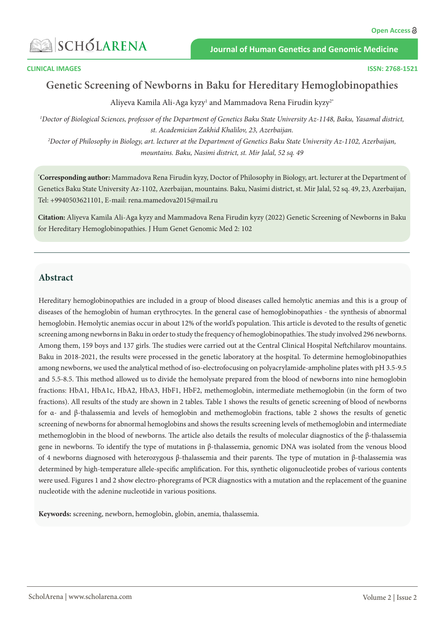# **SA SCHÓLARENA**

**Journal of Human Genetics and Genomic Medicine** 

#### **CLINICAL IMAGES**

# **Genetic Screening of Newborns in Baku for Hereditary Hemoglobinopathies**

Aliyeva Kamila Ali-Aga kyzy<sup>1</sup> and Mammadova Rena Firudin kyzy<sup>2\*</sup>

*1 Doctor of Biological Sciences, professor of the Department of Genetics Baku State University Az-1148, Baku, Yasamal district, st. Academician Zakhid Khalilov, 23, Azerbaijan.*

*2 Doctor of Philosophy in Biology, art. lecturer at the Department of Genetics Baku State University Az-1102, Azerbaijan, mountains. Baku, Nasimi district, st. Mir Jalal, 52 sq. 49*

**\* Corresponding author:** Mammadova Rena Firudin kyzy, Doctor of Philosophy in Biology, art. lecturer at the Department of Genetics Baku State University Az-1102, Azerbaijan, mountains. Baku, Nasimi district, st. Mir Jalal, 52 sq. 49, 23, Azerbaijan, Tel: +9940503621101, E-mail: rena.mamedova2015@mail.ru

**Citation:** Aliyeva Kamila Ali-Aga kyzy and Mammadova Rena Firudin kyzy (2022) Genetic Screening of Newborns in Baku for Hereditary Hemoglobinopathies. J Hum Genet Genomic Med 2: 102

#### **Abstract**

Hereditary hemoglobinopathies are included in a group of blood diseases called hemolytic anemias and this is a group of diseases of the hemoglobin of human erythrocytes. In the general case of hemoglobinopathies - the synthesis of abnormal hemoglobin. Hemolytic anemias occur in about 12% of the world's population. This article is devoted to the results of genetic screening among newborns in Baku in order to study the frequency of hemoglobinopathies. The study involved 296 newborns. Among them, 159 boys and 137 girls. The studies were carried out at the Central Clinical Hospital Neftchilarov mountains. Baku in 2018-2021, the results were processed in the genetic laboratory at the hospital. To determine hemoglobinopathies among newborns, we used the analytical method of iso-electrofocusing on polyacrylamide-ampholine plates with pH 3.5-9.5 and 5.5-8.5. This method allowed us to divide the hemolysate prepared from the blood of newborns into nine hemoglobin fractions: HbA1, HbA1c, HbA2, HbA3, HbF1, HbF2, methemoglobin, intermediate methemoglobin (in the form of two fractions). All results of the study are shown in 2 tables. Table 1 shows the results of genetic screening of blood of newborns for α- and β-thalassemia and levels of hemoglobin and methemoglobin fractions, table 2 shows the results of genetic screening of newborns for abnormal hemoglobins and shows the results screening levels of methemoglobin and intermediate methemoglobin in the blood of newborns. The article also details the results of molecular diagnostics of the β-thalassemia gene in newborns. To identify the type of mutations in β-thalassemia, genomic DNA was isolated from the venous blood of 4 newborns diagnosed with heterozygous β-thalassemia and their parents. The type of mutation in β-thalassemia was determined by high-temperature allele-specific amplification. For this, synthetic oligonucleotide probes of various contents were used. Figures 1 and 2 show electro-phoregrams of PCR diagnostics with a mutation and the replacement of the guanine nucleotide with the adenine nucleotide in various positions.

**Keywords:** screening, newborn, hemoglobin, globin, anemia, thalassemia.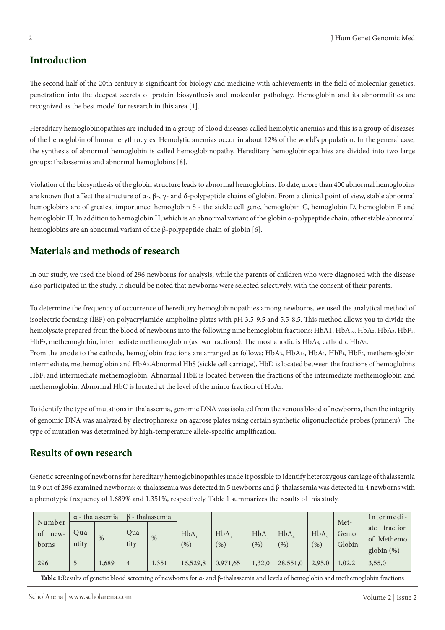# **Introduction**

The second half of the 20th century is significant for biology and medicine with achievements in the field of molecular genetics, penetration into the deepest secrets of protein biosynthesis and molecular pathology. Hemoglobin and its abnormalities are recognized as the best model for research in this area [1].

Hereditary hemoglobinopathies are included in a group of blood diseases called hemolytic anemias and this is a group of diseases of the hemoglobin of human erythrocytes. Hemolytic anemias occur in about 12% of the world's population. In the general case, the synthesis of abnormal hemoglobin is called hemoglobinopathy. Hereditary hemoglobinopathies are divided into two large groups: thalassemias and abnormal hemoglobins [8].

Violation of the biosynthesis of the globin structure leads to abnormal hemoglobins. To date, more than 400 abnormal hemoglobins are known that affect the structure of α-, β-, γ- and δ-polypeptide chains of globin. From a clinical point of view, stable abnormal hemoglobins are of greatest importance: hemoglobin S - the sickle cell gene, hemoglobin C, hemoglobin D, hemoglobin E and hemoglobin H. In addition to hemoglobin H, which is an abnormal variant of the globin α-polypeptide chain, other stable abnormal hemoglobins are an abnormal variant of the β-polypeptide chain of globin [6].

# **Materials and methods of research**

In our study, we used the blood of 296 newborns for analysis, while the parents of children who were diagnosed with the disease also participated in the study. It should be noted that newborns were selected selectively, with the consent of their parents.

To determine the frequency of occurrence of hereditary hemoglobinopathies among newborns, we used the analytical method of isoelectric focusing (İEF) on polyacrylamide-ampholine plates with pH 3.5-9.5 and 5.5-8.5. This method allows you to divide the hemolysate prepared from the blood of newborns into the following nine hemoglobin fractions: HbA1, HbA1c, HbA2, HbA3, HbF1, HbF2, methemoglobin, intermediate methemoglobin (as two fractions). The most anodic is HbA3, cathodic HbA2. From the anode to the cathode, hemoglobin fractions are arranged as follows; HbA<sub>3</sub>, HbA<sub>1c</sub>, HbA<sub>1</sub>, HbF<sub>1</sub>, HbF<sub>2</sub>, methemoglobin intermediate, methemoglobin and HbA2.Abnormal HbS (sickle cell carriage), HbD is located between the fractions of hemoglobins HbF1 and intermediate methemoglobin. Abnormal HbE is located between the fractions of the intermediate methemoglobin and methemoglobin. Abnormal HbC is located at the level of the minor fraction of HbA2.

To identify the type of mutations in thalassemia, genomic DNA was isolated from the venous blood of newborns, then the integrity of genomic DNA was analyzed by electrophoresis on agarose plates using certain synthetic oligonucleotide probes (primers). The type of mutation was determined by high-temperature allele-specific amplification.

#### **Results of own research**

Genetic screening of newborns for hereditary hemoglobinopathies made it possible to identify heterozygous carriage of thalassemia in 9 out of 296 examined newborns: α-thalassemia was detected in 5 newborns and β-thalassemia was detected in 4 newborns with a phenotypic frequency of 1.689% and 1.351%, respectively. Table 1 summarizes the results of this study.

|                               | $\alpha$ - thalassemia |       | $\beta$ - thalassemia |       |            |             |            |            |                          | Met-           | Intermedi-                                     |
|-------------------------------|------------------------|-------|-----------------------|-------|------------|-------------|------------|------------|--------------------------|----------------|------------------------------------------------|
| Number<br>οt<br>new-<br>borns | Qua-<br>ntity          | $\%$  | Oua-<br>tity          | $\%$  | HbA<br>(%) | HbA.<br>(9) | HbA<br>(%) | HbA<br>(%) | H <sub>b</sub> A<br>(% ) | Gemo<br>Globin | fraction<br>ate<br>of Methemo<br>globin $(\%)$ |
| 296                           | ◡                      | 1,689 | $\overline{4}$        | 1,351 | 16,529,8   | 0,971,65    | 1,32,0     | 28,551,0   | 2,95,0                   | 1,02,2         | 3,55,0                                         |

**Table 1:**Results of genetic blood screening of newborns for α- and β-thalassemia and levels of hemoglobin and methemoglobin fractions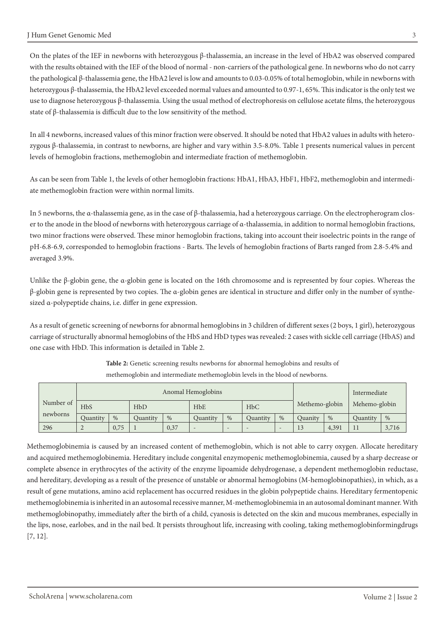On the plates of the IEF in newborns with heterozygous β-thalassemia, an increase in the level of HbA2 was observed compared with the results obtained with the IEF of the blood of normal - non-carriers of the pathological gene. In newborns who do not carry the pathological β-thalassemia gene, the HbA2 level is low and amounts to 0.03-0.05% of total hemoglobin, while in newborns with heterozygous β-thalassemia, the HbA2 level exceeded normal values and amounted to 0.97-1, 65%. This indicator is the only test we use to diagnose heterozygous β-thalassemia. Using the usual method of electrophoresis on cellulose acetate films, the heterozygous state of β-thalassemia is difficult due to the low sensitivity of the method.

In all 4 newborns, increased values of this minor fraction were observed. It should be noted that HbA2 values in adults with heterozygous β-thalassemia, in contrast to newborns, are higher and vary within 3.5-8.0%. Table 1 presents numerical values in percent levels of hemoglobin fractions, methemoglobin and intermediate fraction of methemoglobin.

As can be seen from Table 1, the levels of other hemoglobin fractions: HbA1, HbA3, HbF1, HbF2, methemoglobin and intermediate methemoglobin fraction were within normal limits.

In 5 newborns, the α-thalassemia gene, as in the case of β-thalassemia, had a heterozygous carriage. On the electropherogram closer to the anode in the blood of newborns with heterozygous carriage of α-thalassemia, in addition to normal hemoglobin fractions, two minor fractions were observed. These minor hemoglobin fractions, taking into account their isoelectric points in the range of pH-6.8-6.9, corresponded to hemoglobin fractions - Barts. The levels of hemoglobin fractions of Barts ranged from 2.8-5.4% and averaged 3.9%.

Unlike the β-globin gene, the  $\alpha$ -globin gene is located on the 16th chromosome and is represented by four copies. Whereas the β-globin gene is represented by two copies. The α-globin genes are identical in structure and differ only in the number of synthesized α-polypeptide chains, i.e. differ in gene expression.

As a result of genetic screening of newborns for abnormal hemoglobins in 3 children of different sexes (2 boys, 1 girl), heterozygous carriage of structurally abnormal hemoglobins of the HbS and HbD types was revealed: 2 cases with sickle cell carriage (HbAS) and one case with HbD. This information is detailed in Table 2.

|                       |                 |      |          | Anomal Hemoglobins |            |                          |            | Intermediate |                      |       |               |       |
|-----------------------|-----------------|------|----------|--------------------|------------|--------------------------|------------|--------------|----------------------|-------|---------------|-------|
| Number of<br>newborns | <b>HbS</b>      |      | HbD      |                    | <b>HbE</b> |                          | <b>HbC</b> |              | Methemo-globin       |       | Mehemo-globin |       |
|                       | Quantity        | $\%$ | Ouantity | $\%$               | Quantity   | $\%$                     | Quantity   | $\%$         | Quanity              | $\%$  | Quantity      | $\%$  |
| 296                   | $\sqrt{2}$<br>∼ | 0,75 |          | 0,37               |            | $\overline{\phantom{0}}$ |            |              | 1 <sub>2</sub><br>13 | 4,391 | $-1$          | 3,716 |

**Table 2:** Genetic screening results newborns for abnormal hemoglobins and results of methemoglobin and intermediate methemoglobin levels in the blood of newborns.

Methemoglobinemia is caused by an increased content of methemoglobin, which is not able to carry oxygen. Allocate hereditary and acquired methemoglobinemia. Hereditary include congenital enzymopenic methemoglobinemia, caused by a sharp decrease or complete absence in erythrocytes of the activity of the enzyme lipoamide dehydrogenase, a dependent methemoglobin reductase, and hereditary, developing as a result of the presence of unstable or abnormal hemoglobins (M-hemoglobinopathies), in which, as a result of gene mutations, amino acid replacement has occurred residues in the globin polypeptide chains. Hereditary fermentopenic methemoglobinemia is inherited in an autosomal recessive manner, M-methemoglobinemia in an autosomal dominant manner. With methemoglobinopathy, immediately after the birth of a child, cyanosis is detected on the skin and mucous membranes, especially in the lips, nose, earlobes, and in the nail bed. It persists throughout life, increasing with cooling, taking methemoglobinformingdrugs [7, 12].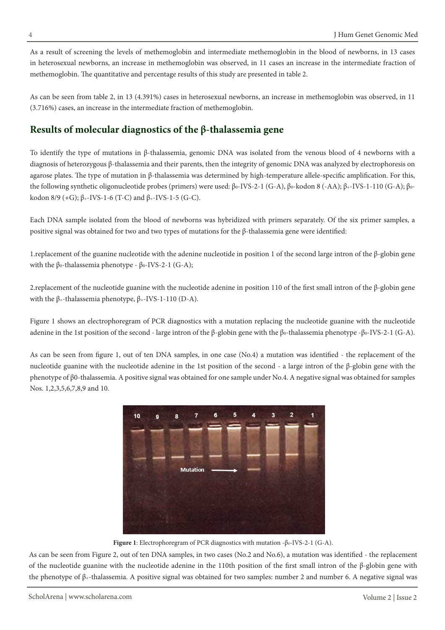As a result of screening the levels of methemoglobin and intermediate methemoglobin in the blood of newborns, in 13 cases in heterosexual newborns, an increase in methemoglobin was observed, in 11 cases an increase in the intermediate fraction of methemoglobin. The quantitative and percentage results of this study are presented in table 2.

As can be seen from table 2, in 13 (4.391%) cases in heterosexual newborns, an increase in methemoglobin was observed, in 11 (3.716%) cases, an increase in the intermediate fraction of methemoglobin.

### **Results of molecular diagnostics of the β-thalassemia gene**

To identify the type of mutations in β-thalassemia, genomic DNA was isolated from the venous blood of 4 newborns with a diagnosis of heterozygous β-thalassemia and their parents, then the integrity of genomic DNA was analyzed by electrophoresis on agarose plates. The type of mutation in β-thalassemia was determined by high-temperature allele-specific amplification. For this, the following synthetic oligonucleotide probes (primers) were used: β<sub>0</sub>-IVS-2-1 (G-A), β<sub>0</sub>-kodon 8 (-AA); β<sub>+</sub>-IVS-1-110 (G-A); β<sub>0</sub>kodon  $8/9$  (+G);  $β$ <sub>+</sub>-IVS-1-6 (T-C) and  $β$ <sub>+</sub>-IVS-1-5 (G-C).

Each DNA sample isolated from the blood of newborns was hybridized with primers separately. Of the six primer samples, a positive signal was obtained for two and two types of mutations for the β-thalassemia gene were identified:

1.replacement of the guanine nucleotide with the adenine nucleotide in position 1 of the second large intron of the β-globin gene with the β<sub>0</sub>-thalassemia phenotype - β<sub>0</sub>-IVS-2-1 (G-A);

2.replacement of the nucleotide guanine with the nucleotide adenine in position 110 of the first small intron of the β-globin gene with the β<sub>+</sub>-thalassemia phenotype,  $β$ <sub>+</sub>-IVS-1-110 (D-A).

Figure 1 shows an electrophoregram of PCR diagnostics with a mutation replacing the nucleotide guanine with the nucleotide adenine in the 1st position of the second - large intron of the β-globin gene with the β<sub>0</sub>-thalassemia phenotype -β<sub>0</sub>-IVS-2-1 (G-A).

As can be seen from figure 1, out of ten DNA samples, in one case (No.4) a mutation was identified - the replacement of the nucleotide guanine with the nucleotide adenine in the 1st position of the second - a large intron of the β-globin gene with the phenotype of β0-thalassemia. A positive signal was obtained for one sample under No.4. A negative signal was obtained for samples Nos. 1,2,3,5,6,7,8,9 and 10.



**Figure 1**: Electrophoregram of PCR diagnostics with mutation -β0-IVS-2-1 (G-A).

As can be seen from Figure 2, out of ten DNA samples, in two cases (No.2 and No.6), a mutation was identified - the replacement of the nucleotide guanine with the nucleotide adenine in the 110th position of the first small intron of the β-globin gene with the phenotype of β+-thalassemia. A positive signal was obtained for two samples: number 2 and number 6. A negative signal was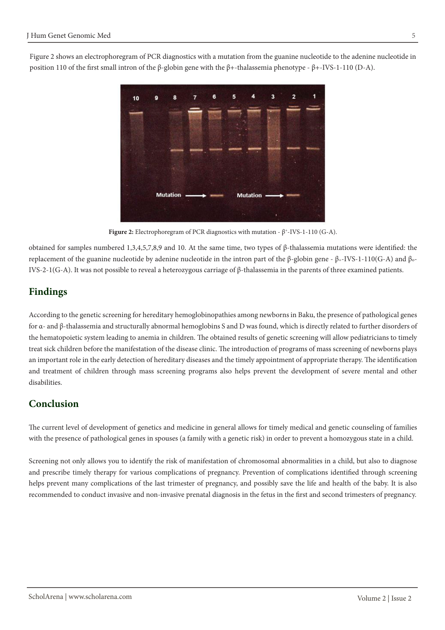Figure 2 shows an electrophoregram of PCR diagnostics with a mutation from the guanine nucleotide to the adenine nucleotide in position 110 of the first small intron of the β-globin gene with the β+-thalassemia phenotype - β+-IVS-1-110 (D-A).



**Figure 2:** Electrophoregram of PCR diagnostics with mutation - β+-IVS-1-110 (G-A).

obtained for samples numbered 1,3,4,5,7,8,9 and 10. At the same time, two types of β-thalassemia mutations were identified: the replacement of the guanine nucleotide by adenine nucleotide in the intron part of the β-globin gene - β+-IVS-1-110(G-A) and βo-IVS-2-1(G-A). It was not possible to reveal a heterozygous carriage of β-thalassemia in the parents of three examined patients.

# **Findings**

According to the genetic screening for hereditary hemoglobinopathies among newborns in Baku, the presence of pathological genes for α- and β-thalassemia and structurally abnormal hemoglobins S and D was found, which is directly related to further disorders of the hematopoietic system leading to anemia in children. The obtained results of genetic screening will allow pediatricians to timely treat sick children before the manifestation of the disease clinic. The introduction of programs of mass screening of newborns plays an important role in the early detection of hereditary diseases and the timely appointment of appropriate therapy. The identification and treatment of children through mass screening programs also helps prevent the development of severe mental and other disabilities.

# **Conclusion**

The current level of development of genetics and medicine in general allows for timely medical and genetic counseling of families with the presence of pathological genes in spouses (a family with a genetic risk) in order to prevent a homozygous state in a child.

Screening not only allows you to identify the risk of manifestation of chromosomal abnormalities in a child, but also to diagnose and prescribe timely therapy for various complications of pregnancy. Prevention of complications identified through screening helps prevent many complications of the last trimester of pregnancy, and possibly save the life and health of the baby. It is also recommended to conduct invasive and non-invasive prenatal diagnosis in the fetus in the first and second trimesters of pregnancy.